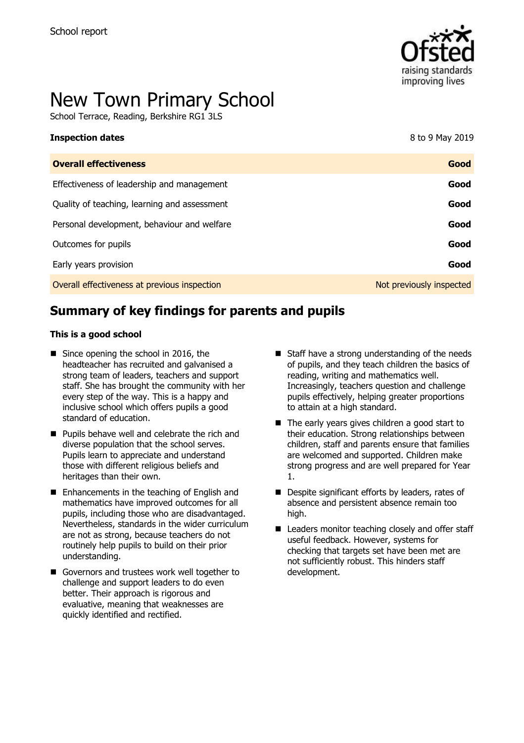

# New Town Primary School

School Terrace, Reading, Berkshire RG1 3LS

| 8 to 9 May 2019          |
|--------------------------|
| Good                     |
| Good                     |
| Good                     |
| Good                     |
| Good                     |
| Good                     |
| Not previously inspected |
|                          |

# **Summary of key findings for parents and pupils**

#### **This is a good school**

- Since opening the school in 2016, the headteacher has recruited and galvanised a strong team of leaders, teachers and support staff. She has brought the community with her every step of the way. This is a happy and inclusive school which offers pupils a good standard of education.
- **Pupils behave well and celebrate the rich and** diverse population that the school serves. Pupils learn to appreciate and understand those with different religious beliefs and heritages than their own.
- Enhancements in the teaching of English and mathematics have improved outcomes for all pupils, including those who are disadvantaged. Nevertheless, standards in the wider curriculum are not as strong, because teachers do not routinely help pupils to build on their prior understanding.
- Governors and trustees work well together to challenge and support leaders to do even better. Their approach is rigorous and evaluative, meaning that weaknesses are quickly identified and rectified.
- $\blacksquare$  Staff have a strong understanding of the needs of pupils, and they teach children the basics of reading, writing and mathematics well. Increasingly, teachers question and challenge pupils effectively, helping greater proportions to attain at a high standard.
- The early years gives children a good start to their education. Strong relationships between children, staff and parents ensure that families are welcomed and supported. Children make strong progress and are well prepared for Year 1.
- Despite significant efforts by leaders, rates of absence and persistent absence remain too high.
- Leaders monitor teaching closely and offer staff useful feedback. However, systems for checking that targets set have been met are not sufficiently robust. This hinders staff development.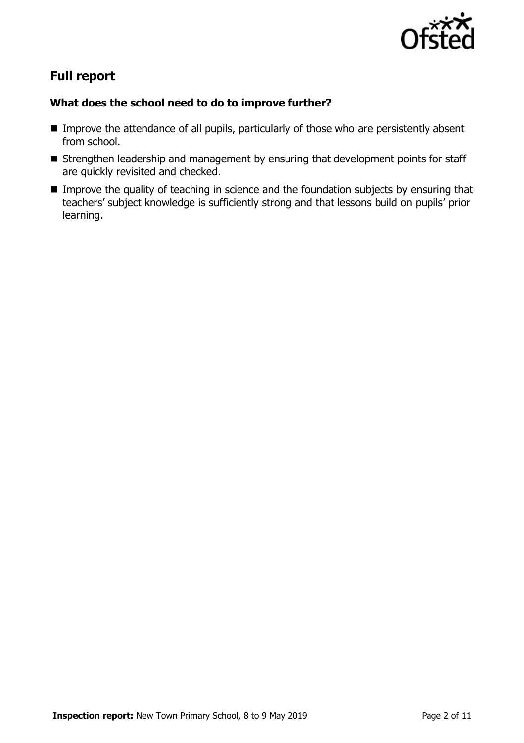

# **Full report**

### **What does the school need to do to improve further?**

- **IMPROVE THE ATTE IMPROVE THE ATTENTION CONTROVE THE ATTE OF ALL PUPILS, PARTICULARLY ATTE INTEGRATION** from school.
- Strengthen leadership and management by ensuring that development points for staff are quickly revisited and checked.
- **IMPROVE THE QUALITY OF TEACHING IN SCIENCE AND THE FOUNDATION SUBJECTS by ENSURIES THAT INTERET** teachers' subject knowledge is sufficiently strong and that lessons build on pupils' prior learning.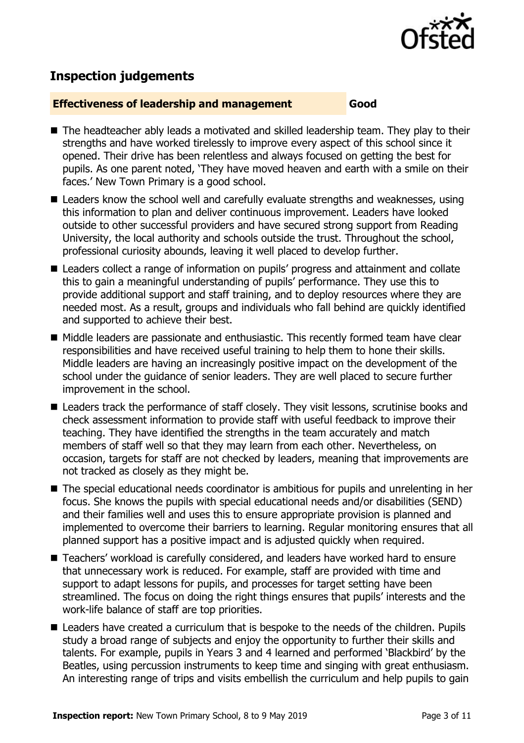

# **Inspection judgements**

#### **Effectiveness of leadership and management Good**

- The headteacher ably leads a motivated and skilled leadership team. They play to their strengths and have worked tirelessly to improve every aspect of this school since it opened. Their drive has been relentless and always focused on getting the best for pupils. As one parent noted, 'They have moved heaven and earth with a smile on their faces.' New Town Primary is a good school.
- Leaders know the school well and carefully evaluate strengths and weaknesses, using this information to plan and deliver continuous improvement. Leaders have looked outside to other successful providers and have secured strong support from Reading University, the local authority and schools outside the trust. Throughout the school, professional curiosity abounds, leaving it well placed to develop further.
- Leaders collect a range of information on pupils' progress and attainment and collate this to gain a meaningful understanding of pupils' performance. They use this to provide additional support and staff training, and to deploy resources where they are needed most. As a result, groups and individuals who fall behind are quickly identified and supported to achieve their best.
- Middle leaders are passionate and enthusiastic. This recently formed team have clear responsibilities and have received useful training to help them to hone their skills. Middle leaders are having an increasingly positive impact on the development of the school under the guidance of senior leaders. They are well placed to secure further improvement in the school.
- Leaders track the performance of staff closely. They visit lessons, scrutinise books and check assessment information to provide staff with useful feedback to improve their teaching. They have identified the strengths in the team accurately and match members of staff well so that they may learn from each other. Nevertheless, on occasion, targets for staff are not checked by leaders, meaning that improvements are not tracked as closely as they might be.
- The special educational needs coordinator is ambitious for pupils and unrelenting in her focus. She knows the pupils with special educational needs and/or disabilities (SEND) and their families well and uses this to ensure appropriate provision is planned and implemented to overcome their barriers to learning. Regular monitoring ensures that all planned support has a positive impact and is adjusted quickly when required.
- Teachers' workload is carefully considered, and leaders have worked hard to ensure that unnecessary work is reduced. For example, staff are provided with time and support to adapt lessons for pupils, and processes for target setting have been streamlined. The focus on doing the right things ensures that pupils' interests and the work-life balance of staff are top priorities.
- Leaders have created a curriculum that is bespoke to the needs of the children. Pupils study a broad range of subjects and enjoy the opportunity to further their skills and talents. For example, pupils in Years 3 and 4 learned and performed 'Blackbird' by the Beatles, using percussion instruments to keep time and singing with great enthusiasm. An interesting range of trips and visits embellish the curriculum and help pupils to gain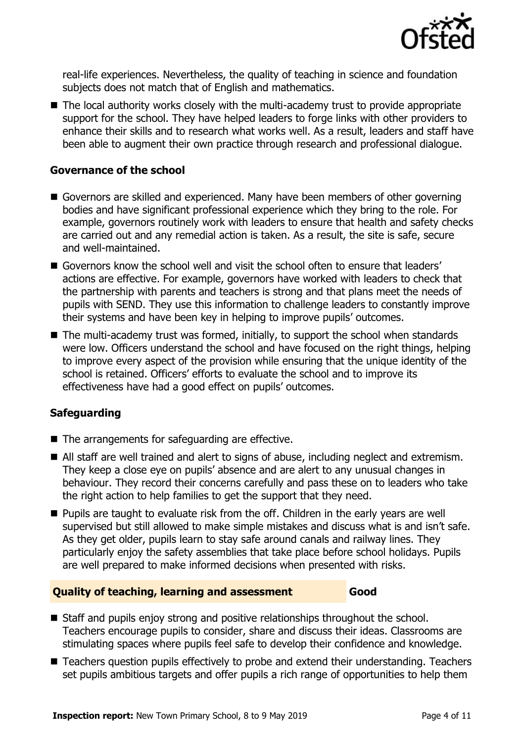

real-life experiences. Nevertheless, the quality of teaching in science and foundation subjects does not match that of English and mathematics.

■ The local authority works closely with the multi-academy trust to provide appropriate support for the school. They have helped leaders to forge links with other providers to enhance their skills and to research what works well. As a result, leaders and staff have been able to augment their own practice through research and professional dialogue.

#### **Governance of the school**

- Governors are skilled and experienced. Many have been members of other governing bodies and have significant professional experience which they bring to the role. For example, governors routinely work with leaders to ensure that health and safety checks are carried out and any remedial action is taken. As a result, the site is safe, secure and well-maintained.
- Governors know the school well and visit the school often to ensure that leaders' actions are effective. For example, governors have worked with leaders to check that the partnership with parents and teachers is strong and that plans meet the needs of pupils with SEND. They use this information to challenge leaders to constantly improve their systems and have been key in helping to improve pupils' outcomes.
- The multi-academy trust was formed, initially, to support the school when standards were low. Officers understand the school and have focused on the right things, helping to improve every aspect of the provision while ensuring that the unique identity of the school is retained. Officers' efforts to evaluate the school and to improve its effectiveness have had a good effect on pupils' outcomes.

#### **Safeguarding**

- $\blacksquare$  The arrangements for safeguarding are effective.
- All staff are well trained and alert to signs of abuse, including neglect and extremism. They keep a close eye on pupils' absence and are alert to any unusual changes in behaviour. They record their concerns carefully and pass these on to leaders who take the right action to help families to get the support that they need.
- **Pupils are taught to evaluate risk from the off. Children in the early years are well** supervised but still allowed to make simple mistakes and discuss what is and isn't safe. As they get older, pupils learn to stay safe around canals and railway lines. They particularly enjoy the safety assemblies that take place before school holidays. Pupils are well prepared to make informed decisions when presented with risks.

#### **Quality of teaching, learning and assessment Good**

- Staff and pupils enjoy strong and positive relationships throughout the school. Teachers encourage pupils to consider, share and discuss their ideas. Classrooms are stimulating spaces where pupils feel safe to develop their confidence and knowledge.
- Teachers question pupils effectively to probe and extend their understanding. Teachers set pupils ambitious targets and offer pupils a rich range of opportunities to help them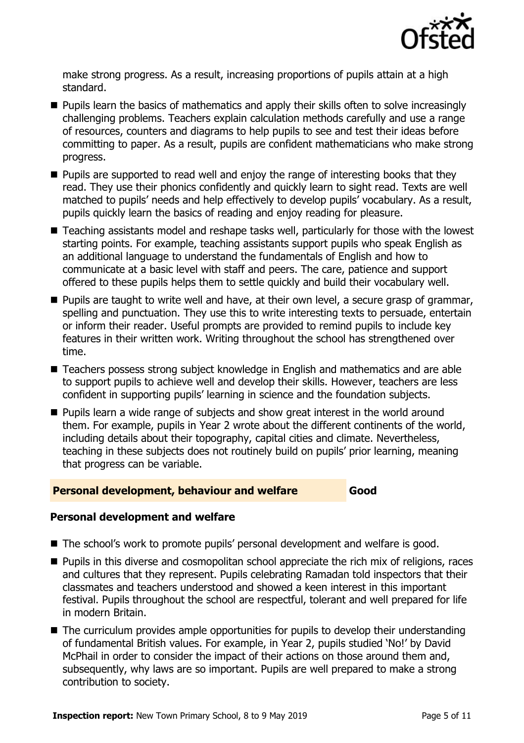

make strong progress. As a result, increasing proportions of pupils attain at a high standard.

- **Pupils learn the basics of mathematics and apply their skills often to solve increasingly** challenging problems. Teachers explain calculation methods carefully and use a range of resources, counters and diagrams to help pupils to see and test their ideas before committing to paper. As a result, pupils are confident mathematicians who make strong progress.
- $\blacksquare$  Pupils are supported to read well and enjoy the range of interesting books that they read. They use their phonics confidently and quickly learn to sight read. Texts are well matched to pupils' needs and help effectively to develop pupils' vocabulary. As a result, pupils quickly learn the basics of reading and enjoy reading for pleasure.
- Teaching assistants model and reshape tasks well, particularly for those with the lowest starting points. For example, teaching assistants support pupils who speak English as an additional language to understand the fundamentals of English and how to communicate at a basic level with staff and peers. The care, patience and support offered to these pupils helps them to settle quickly and build their vocabulary well.
- **Pupils are taught to write well and have, at their own level, a secure grasp of grammar,** spelling and punctuation. They use this to write interesting texts to persuade, entertain or inform their reader. Useful prompts are provided to remind pupils to include key features in their written work. Writing throughout the school has strengthened over time.
- Teachers possess strong subject knowledge in English and mathematics and are able to support pupils to achieve well and develop their skills. However, teachers are less confident in supporting pupils' learning in science and the foundation subjects.
- **Pupils learn a wide range of subjects and show great interest in the world around** them. For example, pupils in Year 2 wrote about the different continents of the world, including details about their topography, capital cities and climate. Nevertheless, teaching in these subjects does not routinely build on pupils' prior learning, meaning that progress can be variable.

#### **Personal development, behaviour and welfare Good**

#### **Personal development and welfare**

- The school's work to promote pupils' personal development and welfare is good.
- **Pupils in this diverse and cosmopolitan school appreciate the rich mix of religions, races** and cultures that they represent. Pupils celebrating Ramadan told inspectors that their classmates and teachers understood and showed a keen interest in this important festival. Pupils throughout the school are respectful, tolerant and well prepared for life in modern Britain.
- The curriculum provides ample opportunities for pupils to develop their understanding of fundamental British values. For example, in Year 2, pupils studied 'No!' by David McPhail in order to consider the impact of their actions on those around them and, subsequently, why laws are so important. Pupils are well prepared to make a strong contribution to society.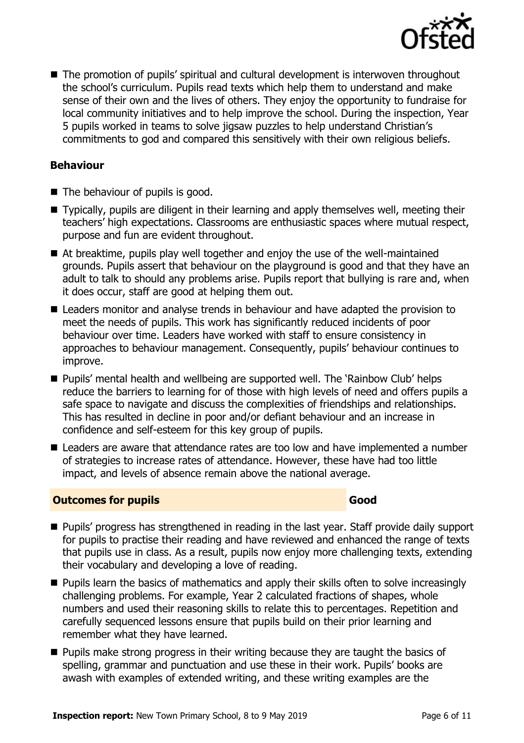

■ The promotion of pupils' spiritual and cultural development is interwoven throughout the school's curriculum. Pupils read texts which help them to understand and make sense of their own and the lives of others. They enjoy the opportunity to fundraise for local community initiatives and to help improve the school. During the inspection, Year 5 pupils worked in teams to solve jigsaw puzzles to help understand Christian's commitments to god and compared this sensitively with their own religious beliefs.

#### **Behaviour**

- The behaviour of pupils is good.
- Typically, pupils are diligent in their learning and apply themselves well, meeting their teachers' high expectations. Classrooms are enthusiastic spaces where mutual respect, purpose and fun are evident throughout.
- At breaktime, pupils play well together and enjoy the use of the well-maintained grounds. Pupils assert that behaviour on the playground is good and that they have an adult to talk to should any problems arise. Pupils report that bullying is rare and, when it does occur, staff are good at helping them out.
- Leaders monitor and analyse trends in behaviour and have adapted the provision to meet the needs of pupils. This work has significantly reduced incidents of poor behaviour over time. Leaders have worked with staff to ensure consistency in approaches to behaviour management. Consequently, pupils' behaviour continues to improve.
- **Pupils' mental health and wellbeing are supported well. The 'Rainbow Club' helps** reduce the barriers to learning for of those with high levels of need and offers pupils a safe space to navigate and discuss the complexities of friendships and relationships. This has resulted in decline in poor and/or defiant behaviour and an increase in confidence and self-esteem for this key group of pupils.
- Leaders are aware that attendance rates are too low and have implemented a number of strategies to increase rates of attendance. However, these have had too little impact, and levels of absence remain above the national average.

#### **Outcomes for pupils Good**

- **Pupils' progress has strengthened in reading in the last year. Staff provide daily support** for pupils to practise their reading and have reviewed and enhanced the range of texts that pupils use in class. As a result, pupils now enjoy more challenging texts, extending their vocabulary and developing a love of reading.
- **Pupils learn the basics of mathematics and apply their skills often to solve increasingly** challenging problems. For example, Year 2 calculated fractions of shapes, whole numbers and used their reasoning skills to relate this to percentages. Repetition and carefully sequenced lessons ensure that pupils build on their prior learning and remember what they have learned.
- **Pupils make strong progress in their writing because they are taught the basics of** spelling, grammar and punctuation and use these in their work. Pupils' books are awash with examples of extended writing, and these writing examples are the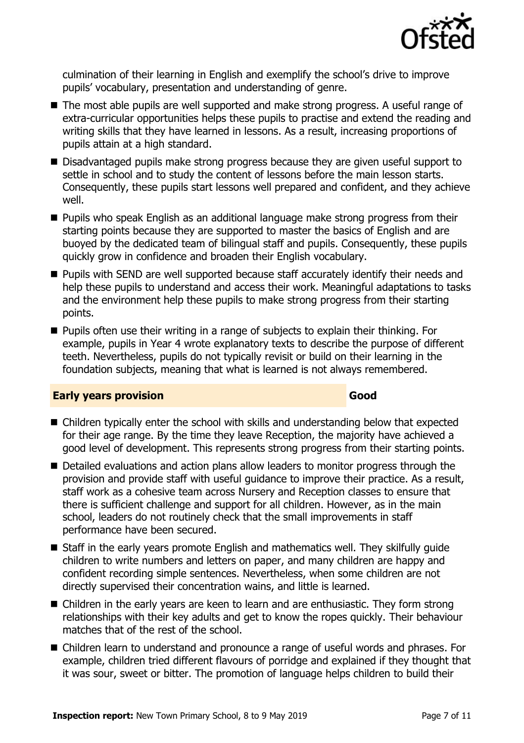

culmination of their learning in English and exemplify the school's drive to improve pupils' vocabulary, presentation and understanding of genre.

- The most able pupils are well supported and make strong progress. A useful range of extra-curricular opportunities helps these pupils to practise and extend the reading and writing skills that they have learned in lessons. As a result, increasing proportions of pupils attain at a high standard.
- Disadvantaged pupils make strong progress because they are given useful support to settle in school and to study the content of lessons before the main lesson starts. Consequently, these pupils start lessons well prepared and confident, and they achieve well.
- **Pupils who speak English as an additional language make strong progress from their** starting points because they are supported to master the basics of English and are buoyed by the dedicated team of bilingual staff and pupils. Consequently, these pupils quickly grow in confidence and broaden their English vocabulary.
- **Pupils with SEND are well supported because staff accurately identify their needs and** help these pupils to understand and access their work. Meaningful adaptations to tasks and the environment help these pupils to make strong progress from their starting points.
- Pupils often use their writing in a range of subjects to explain their thinking. For example, pupils in Year 4 wrote explanatory texts to describe the purpose of different teeth. Nevertheless, pupils do not typically revisit or build on their learning in the foundation subjects, meaning that what is learned is not always remembered.

#### **Early years provision Good Good**

- Children typically enter the school with skills and understanding below that expected for their age range. By the time they leave Reception, the majority have achieved a good level of development. This represents strong progress from their starting points.
- Detailed evaluations and action plans allow leaders to monitor progress through the provision and provide staff with useful guidance to improve their practice. As a result, staff work as a cohesive team across Nursery and Reception classes to ensure that there is sufficient challenge and support for all children. However, as in the main school, leaders do not routinely check that the small improvements in staff performance have been secured.
- Staff in the early years promote English and mathematics well. They skilfully quide children to write numbers and letters on paper, and many children are happy and confident recording simple sentences. Nevertheless, when some children are not directly supervised their concentration wains, and little is learned.
- Children in the early years are keen to learn and are enthusiastic. They form strong relationships with their key adults and get to know the ropes quickly. Their behaviour matches that of the rest of the school.
- Children learn to understand and pronounce a range of useful words and phrases. For example, children tried different flavours of porridge and explained if they thought that it was sour, sweet or bitter. The promotion of language helps children to build their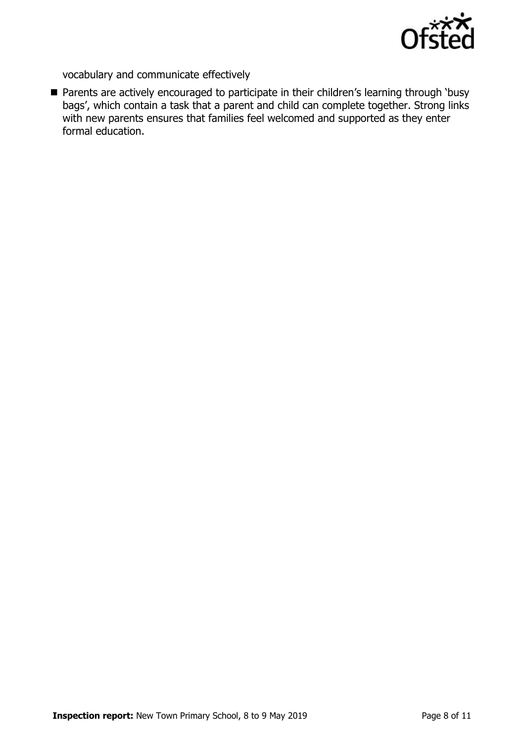

vocabulary and communicate effectively

■ Parents are actively encouraged to participate in their children's learning through 'busy bags', which contain a task that a parent and child can complete together. Strong links with new parents ensures that families feel welcomed and supported as they enter formal education.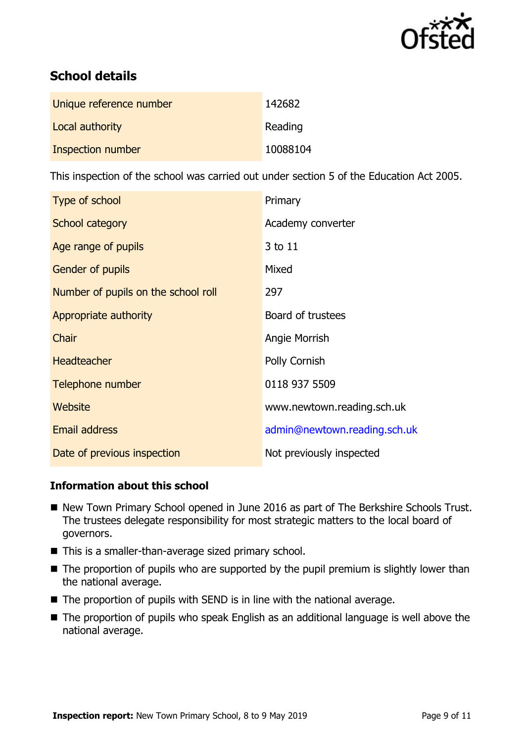

# **School details**

| Unique reference number | 142682   |
|-------------------------|----------|
| Local authority         | Reading  |
| Inspection number       | 10088104 |

This inspection of the school was carried out under section 5 of the Education Act 2005.

| Type of school                      | Primary                      |
|-------------------------------------|------------------------------|
| School category                     | Academy converter            |
| Age range of pupils                 | 3 to 11                      |
| <b>Gender of pupils</b>             | Mixed                        |
| Number of pupils on the school roll | 297                          |
| Appropriate authority               | Board of trustees            |
| Chair                               | Angie Morrish                |
| <b>Headteacher</b>                  | Polly Cornish                |
| Telephone number                    | 0118 937 5509                |
| Website                             | www.newtown.reading.sch.uk   |
| <b>Email address</b>                | admin@newtown.reading.sch.uk |
| Date of previous inspection         | Not previously inspected     |

### **Information about this school**

- New Town Primary School opened in June 2016 as part of The Berkshire Schools Trust. The trustees delegate responsibility for most strategic matters to the local board of governors.
- This is a smaller-than-average sized primary school.
- The proportion of pupils who are supported by the pupil premium is slightly lower than the national average.
- $\blacksquare$  The proportion of pupils with SEND is in line with the national average.
- The proportion of pupils who speak English as an additional language is well above the national average.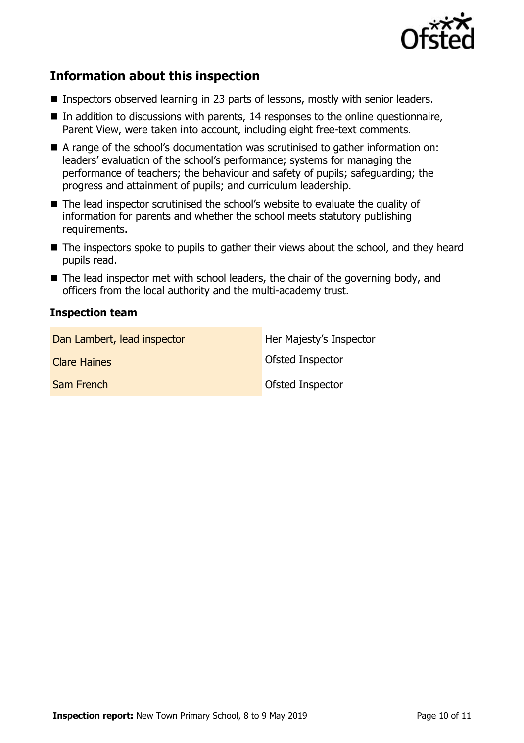

# **Information about this inspection**

- Inspectors observed learning in 23 parts of lessons, mostly with senior leaders.
- $\blacksquare$  In addition to discussions with parents, 14 responses to the online questionnaire, Parent View, were taken into account, including eight free-text comments.
- A range of the school's documentation was scrutinised to gather information on: leaders' evaluation of the school's performance; systems for managing the performance of teachers; the behaviour and safety of pupils; safeguarding; the progress and attainment of pupils; and curriculum leadership.
- The lead inspector scrutinised the school's website to evaluate the quality of information for parents and whether the school meets statutory publishing requirements.
- The inspectors spoke to pupils to gather their views about the school, and they heard pupils read.
- $\blacksquare$  The lead inspector met with school leaders, the chair of the governing body, and officers from the local authority and the multi-academy trust.

#### **Inspection team**

| Dan Lambert, lead inspector | Her Majesty's Inspector |
|-----------------------------|-------------------------|
| <b>Clare Haines</b>         | <b>Ofsted Inspector</b> |
| Sam French                  | Ofsted Inspector        |